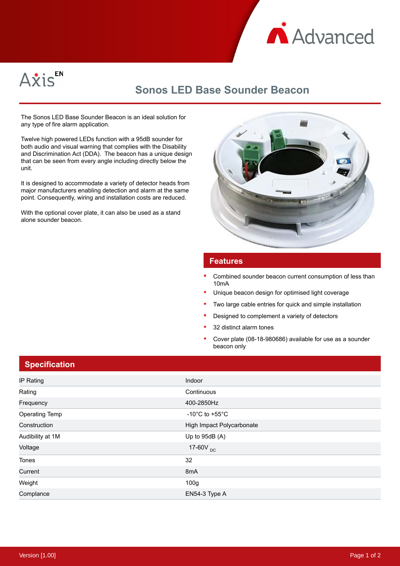



## **Sonos LED Base Sounder Beacon**

The Sonos LED Base Sounder Beacon is an ideal solution for any type of fire alarm application.

Twelve high powered LEDs function with a 95dB sounder for both audio and visual warning that complies with the Disability and Discrimination Act (DDA). The beacon has a unique design that can be seen from every angle including directly below the unit.

It is designed to accommodate a variety of detector heads from major manufacturers enabling detection and alarm at the same point. Consequently, wiring and installation costs are reduced.

With the optional cover plate, it can also be used as a stand alone sounder beacon.



## **Features**

- Combined sounder beacon current consumption of less than 10mA
- Unique beacon design for optimised light coverage
- Two large cable entries for quick and simple installation
- Designed to complement a variety of detectors
- 32 distinct alarm tones
- Cover plate (08-18-980686) available for use as a sounder beacon only

## **Specification**

| IP Rating             | Indoor                               |
|-----------------------|--------------------------------------|
| Rating                | Continuous                           |
| Frequency             | 400-2850Hz                           |
| <b>Operating Temp</b> | -10 $^{\circ}$ C to +55 $^{\circ}$ C |
| Construction          | High Impact Polycarbonate            |
| Audibility at 1M      | Up to 95dB (A)                       |
| Voltage               | 17-60V <sub>DC</sub>                 |
| Tones                 | 32                                   |
| Current               | 8mA                                  |
| Weight                | 100 <sub>g</sub>                     |
| Complance             | EN54-3 Type A                        |